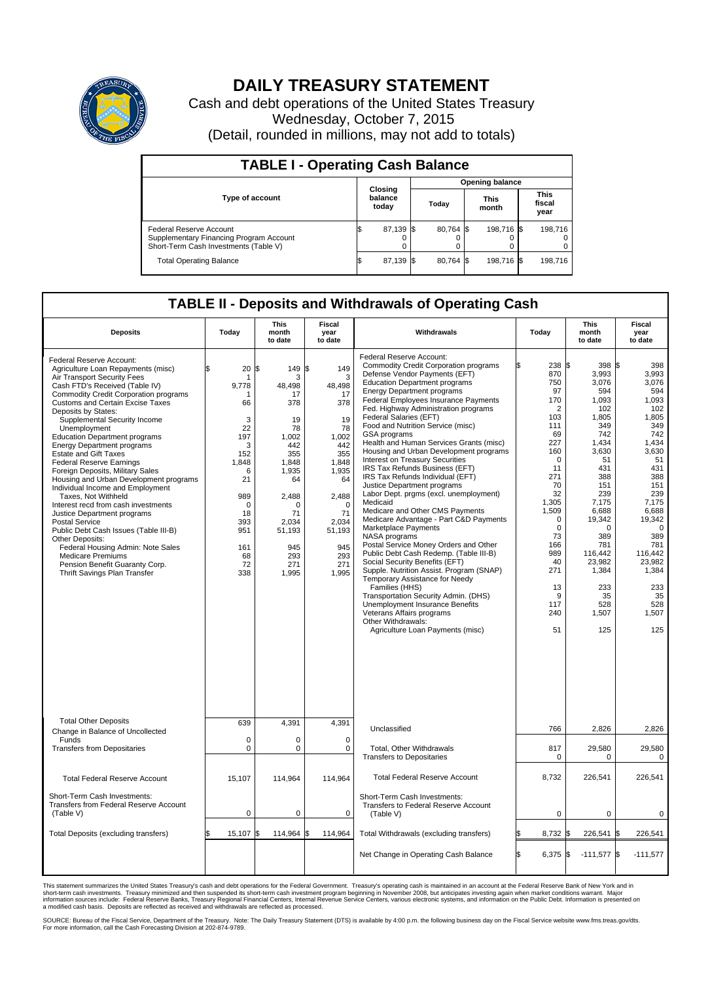

## **DAILY TREASURY STATEMENT**

Cash and debt operations of the United States Treasury Wednesday, October 7, 2015 (Detail, rounded in millions, may not add to totals)

| <b>TABLE I - Operating Cash Balance</b>                                                                            |    |                             |      |                        |  |                      |  |                               |  |  |  |
|--------------------------------------------------------------------------------------------------------------------|----|-----------------------------|------|------------------------|--|----------------------|--|-------------------------------|--|--|--|
|                                                                                                                    |    | Closing<br>balance<br>today |      | <b>Opening balance</b> |  |                      |  |                               |  |  |  |
| <b>Type of account</b>                                                                                             |    |                             |      | Today                  |  | <b>This</b><br>month |  | <b>This</b><br>fiscal<br>year |  |  |  |
| <b>Federal Reserve Account</b><br>Supplementary Financing Program Account<br>Short-Term Cash Investments (Table V) |    | 87,139                      | -156 | 80.764 \$              |  | 198,716 \$           |  | 198,716                       |  |  |  |
| <b>Total Operating Balance</b>                                                                                     | ß. | 87,139                      | -15  | 80.764 \$              |  | 198,716 \$           |  | 198,716                       |  |  |  |

## **TABLE II - Deposits and Withdrawals of Operating Cash**

| <b>Deposits</b>                                                                                                                                                                                                                                                                                                                                                                                                                                                                                                                                                                                                                                                                                                                                                                                                                                                                          | Today                                                                                                                                | This<br>month<br>to date                                                                                                                                                         | Fiscal<br>year<br>to date                                                                                                                                              | Withdrawals                                                                                                                                                                                                                                                                                                                                                                                                                                                                                                                                                                                                                                                                                                                                                                                                                                                                                                                                                                                                                                                                                                                                                         | Today                                                                                                                                                                                                                               | <b>This</b><br>month<br>to date                                                                                                                                                                                                                    | Fiscal<br>year<br>to date                                                                                                                                                                                                                          |  |  |  |  |
|------------------------------------------------------------------------------------------------------------------------------------------------------------------------------------------------------------------------------------------------------------------------------------------------------------------------------------------------------------------------------------------------------------------------------------------------------------------------------------------------------------------------------------------------------------------------------------------------------------------------------------------------------------------------------------------------------------------------------------------------------------------------------------------------------------------------------------------------------------------------------------------|--------------------------------------------------------------------------------------------------------------------------------------|----------------------------------------------------------------------------------------------------------------------------------------------------------------------------------|------------------------------------------------------------------------------------------------------------------------------------------------------------------------|---------------------------------------------------------------------------------------------------------------------------------------------------------------------------------------------------------------------------------------------------------------------------------------------------------------------------------------------------------------------------------------------------------------------------------------------------------------------------------------------------------------------------------------------------------------------------------------------------------------------------------------------------------------------------------------------------------------------------------------------------------------------------------------------------------------------------------------------------------------------------------------------------------------------------------------------------------------------------------------------------------------------------------------------------------------------------------------------------------------------------------------------------------------------|-------------------------------------------------------------------------------------------------------------------------------------------------------------------------------------------------------------------------------------|----------------------------------------------------------------------------------------------------------------------------------------------------------------------------------------------------------------------------------------------------|----------------------------------------------------------------------------------------------------------------------------------------------------------------------------------------------------------------------------------------------------|--|--|--|--|
| Federal Reserve Account:<br>Agriculture Loan Repayments (misc)<br>Air Transport Security Fees<br>Cash FTD's Received (Table IV)<br><b>Commodity Credit Corporation programs</b><br><b>Customs and Certain Excise Taxes</b><br>Deposits by States:<br>Supplemental Security Income<br>Unemployment<br><b>Education Department programs</b><br><b>Energy Department programs</b><br><b>Estate and Gift Taxes</b><br><b>Federal Reserve Earnings</b><br>Foreign Deposits, Military Sales<br>Housing and Urban Development programs<br>Individual Income and Employment<br>Taxes, Not Withheld<br>Interest recd from cash investments<br>Justice Department programs<br>Postal Service<br>Public Debt Cash Issues (Table III-B)<br><b>Other Deposits:</b><br>Federal Housing Admin: Note Sales<br><b>Medicare Premiums</b><br>Pension Benefit Guaranty Corp.<br>Thrift Savings Plan Transfer | \$.<br>20<br>9,778<br>66<br>3<br>22<br>197<br>3<br>152<br>1,848<br>6<br>21<br>989<br>0<br>18<br>393<br>951<br>161<br>68<br>72<br>338 | l\$<br>149 \$<br>3<br>48.498<br>17<br>378<br>19<br>78<br>1.002<br>442<br>355<br>1,848<br>1,935<br>64<br>2,488<br>$\Omega$<br>71<br>2,034<br>51,193<br>945<br>293<br>271<br>1,995 | 149<br>3<br>48,498<br>17<br>378<br>19<br>78<br>1.002<br>442<br>355<br>1,848<br>1,935<br>64<br>2,488<br>$\Omega$<br>71<br>2,034<br>51,193<br>945<br>293<br>271<br>1,995 | Federal Reserve Account:<br><b>Commodity Credit Corporation programs</b><br>Defense Vendor Payments (EFT)<br><b>Education Department programs</b><br><b>Energy Department programs</b><br>Federal Employees Insurance Payments<br>Fed. Highway Administration programs<br><b>Federal Salaries (EFT)</b><br>Food and Nutrition Service (misc)<br><b>GSA</b> programs<br>Health and Human Services Grants (misc)<br>Housing and Urban Development programs<br>Interest on Treasury Securities<br>IRS Tax Refunds Business (EFT)<br>IRS Tax Refunds Individual (EFT)<br>Justice Department programs<br>Labor Dept. prgms (excl. unemployment)<br>Medicaid<br>Medicare and Other CMS Payments<br>Medicare Advantage - Part C&D Payments<br>Marketplace Payments<br>NASA programs<br>Postal Service Money Orders and Other<br>Public Debt Cash Redemp. (Table III-B)<br>Social Security Benefits (EFT)<br>Supple. Nutrition Assist. Program (SNAP)<br>Temporary Assistance for Needy<br>Families (HHS)<br>Transportation Security Admin. (DHS)<br>Unemployment Insurance Benefits<br>Veterans Affairs programs<br>Other Withdrawals:<br>Agriculture Loan Payments (misc) | 238 \$<br>870<br>750<br>97<br>170<br>$\overline{2}$<br>103<br>111<br>69<br>227<br>160<br>$\mathbf 0$<br>11<br>271<br>70<br>32<br>1,305<br>1,509<br>0<br>$\mathbf 0$<br>73<br>166<br>989<br>40<br>271<br>13<br>9<br>117<br>240<br>51 | 398 \$<br>3,993<br>3,076<br>594<br>1,093<br>102<br>1,805<br>349<br>742<br>1,434<br>3,630<br>51<br>431<br>388<br>151<br>239<br>7,175<br>6,688<br>19,342<br>$\Omega$<br>389<br>781<br>116,442<br>23,982<br>1,384<br>233<br>35<br>528<br>1,507<br>125 | 398<br>3,993<br>3,076<br>594<br>1,093<br>102<br>1,805<br>349<br>742<br>1,434<br>3,630<br>51<br>431<br>388<br>151<br>239<br>7,175<br>6,688<br>19,342<br>$\mathbf 0$<br>389<br>781<br>116.442<br>23,982<br>1,384<br>233<br>35<br>528<br>1,507<br>125 |  |  |  |  |
| <b>Total Other Deposits</b>                                                                                                                                                                                                                                                                                                                                                                                                                                                                                                                                                                                                                                                                                                                                                                                                                                                              | 639                                                                                                                                  | 4,391                                                                                                                                                                            | 4,391                                                                                                                                                                  | Unclassified                                                                                                                                                                                                                                                                                                                                                                                                                                                                                                                                                                                                                                                                                                                                                                                                                                                                                                                                                                                                                                                                                                                                                        | 766                                                                                                                                                                                                                                 | 2,826                                                                                                                                                                                                                                              | 2,826                                                                                                                                                                                                                                              |  |  |  |  |
| Change in Balance of Uncollected<br>Funds<br><b>Transfers from Depositaries</b>                                                                                                                                                                                                                                                                                                                                                                                                                                                                                                                                                                                                                                                                                                                                                                                                          | $\mathbf 0$<br>0                                                                                                                     | 0<br>0                                                                                                                                                                           | $\mathbf 0$<br>$\mathbf 0$                                                                                                                                             | Total, Other Withdrawals<br><b>Transfers to Depositaries</b>                                                                                                                                                                                                                                                                                                                                                                                                                                                                                                                                                                                                                                                                                                                                                                                                                                                                                                                                                                                                                                                                                                        | 817<br>$\mathbf 0$                                                                                                                                                                                                                  | 29,580<br>0                                                                                                                                                                                                                                        | 29,580<br>$\mathbf 0$                                                                                                                                                                                                                              |  |  |  |  |
| <b>Total Federal Reserve Account</b>                                                                                                                                                                                                                                                                                                                                                                                                                                                                                                                                                                                                                                                                                                                                                                                                                                                     | 15.107                                                                                                                               | 114.964                                                                                                                                                                          | 114.964                                                                                                                                                                | <b>Total Federal Reserve Account</b>                                                                                                                                                                                                                                                                                                                                                                                                                                                                                                                                                                                                                                                                                                                                                                                                                                                                                                                                                                                                                                                                                                                                | 8,732                                                                                                                                                                                                                               | 226.541                                                                                                                                                                                                                                            | 226.541                                                                                                                                                                                                                                            |  |  |  |  |
| Short-Term Cash Investments:<br>Transfers from Federal Reserve Account<br>(Table V)                                                                                                                                                                                                                                                                                                                                                                                                                                                                                                                                                                                                                                                                                                                                                                                                      | $\mathbf 0$                                                                                                                          | 0                                                                                                                                                                                | $\mathbf 0$                                                                                                                                                            | Short-Term Cash Investments:<br>Transfers to Federal Reserve Account<br>(Table V)                                                                                                                                                                                                                                                                                                                                                                                                                                                                                                                                                                                                                                                                                                                                                                                                                                                                                                                                                                                                                                                                                   | $\mathbf 0$                                                                                                                                                                                                                         | $\mathbf 0$                                                                                                                                                                                                                                        | 0                                                                                                                                                                                                                                                  |  |  |  |  |
| Total Deposits (excluding transfers)                                                                                                                                                                                                                                                                                                                                                                                                                                                                                                                                                                                                                                                                                                                                                                                                                                                     | 15,107                                                                                                                               | Ŝ.<br>114.964                                                                                                                                                                    | 114,964                                                                                                                                                                | Total Withdrawals (excluding transfers)                                                                                                                                                                                                                                                                                                                                                                                                                                                                                                                                                                                                                                                                                                                                                                                                                                                                                                                                                                                                                                                                                                                             | 8,732                                                                                                                                                                                                                               | 226,541<br>I\$                                                                                                                                                                                                                                     | l\$<br>226,541                                                                                                                                                                                                                                     |  |  |  |  |
|                                                                                                                                                                                                                                                                                                                                                                                                                                                                                                                                                                                                                                                                                                                                                                                                                                                                                          |                                                                                                                                      |                                                                                                                                                                                  |                                                                                                                                                                        | Net Change in Operating Cash Balance                                                                                                                                                                                                                                                                                                                                                                                                                                                                                                                                                                                                                                                                                                                                                                                                                                                                                                                                                                                                                                                                                                                                | 6,375<br>ß.                                                                                                                                                                                                                         | $-111,577$ \$<br>I\$                                                                                                                                                                                                                               | $-111,577$                                                                                                                                                                                                                                         |  |  |  |  |

This statement summarizes the United States Treasury's cash and debt operations for the Federal Government. Treasury's operating cash is maintained in an account at the Federal Reserve Bank of New York and in<br>short-term ca

SOURCE: Bureau of the Fiscal Service, Department of the Treasury. Note: The Daily Treasury Statement (DTS) is available by 4:00 p.m. the following business day on the Fiscal Service website www.fms.treas.gov/dts.<br>For more